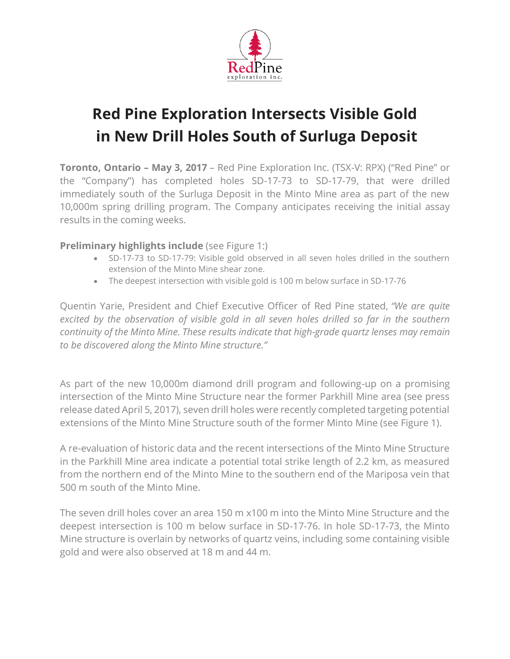

# **Red Pine Exploration Intersects Visible Gold in New Drill Holes South of Surluga Deposit**

**Toronto, Ontario – May 3, 2017** – Red Pine Exploration Inc. (TSX-V: RPX) ("Red Pine" or the "Company") has completed holes SD-17-73 to SD-17-79, that were drilled immediately south of the Surluga Deposit in the Minto Mine area as part of the new 10,000m spring drilling program. The Company anticipates receiving the initial assay results in the coming weeks.

### **Preliminary highlights include** (see Figure 1:)

- SD-17-73 to SD-17-79: Visible gold observed in all seven holes drilled in the southern extension of the Minto Mine shear zone.
- The deepest intersection with visible gold is 100 m below surface in SD-17-76

Quentin Yarie, President and Chief Executive Officer of Red Pine stated, *"We are quite excited by the observation of visible gold in all seven holes drilled so far in the southern continuity of the Minto Mine. These results indicate that high-grade quartz lenses may remain to be discovered along the Minto Mine structure."*

As part of the new 10,000m diamond drill program and following-up on a promising intersection of the Minto Mine Structure near the former Parkhill Mine area (see press release dated April 5, 2017), seven drill holes were recently completed targeting potential extensions of the Minto Mine Structure south of the former Minto Mine (see Figure 1).

A re-evaluation of historic data and the recent intersections of the Minto Mine Structure in the Parkhill Mine area indicate a potential total strike length of 2.2 km, as measured from the northern end of the Minto Mine to the southern end of the Mariposa vein that 500 m south of the Minto Mine.

The seven drill holes cover an area 150 m x100 m into the Minto Mine Structure and the deepest intersection is 100 m below surface in SD-17-76. In hole SD-17-73, the Minto Mine structure is overlain by networks of quartz veins, including some containing visible gold and were also observed at 18 m and 44 m.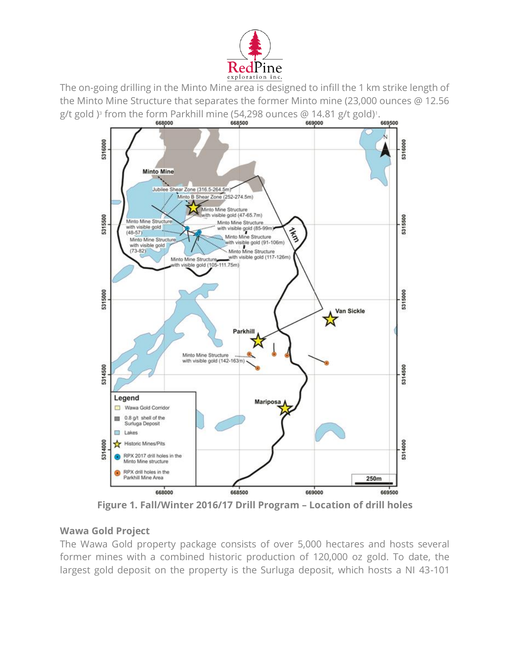

The on-going drilling in the Minto Mine area is designed to infill the 1 km strike length of the Minto Mine Structure that separates the former Minto mine (23,000 ounces @ 12.56 g/t gold )<sup>3</sup> from the form Parkhill mine (54,298 ounces @ 14.81 g/t gold)<sup>1</sup>.



**Figure 1. Fall/Winter 2016/17 Drill Program – Location of drill holes**

## **Wawa Gold Project**

The Wawa Gold property package consists of over 5,000 hectares and hosts several former mines with a combined historic production of 120,000 oz gold. To date, the largest gold deposit on the property is the Surluga deposit, which hosts a NI 43-101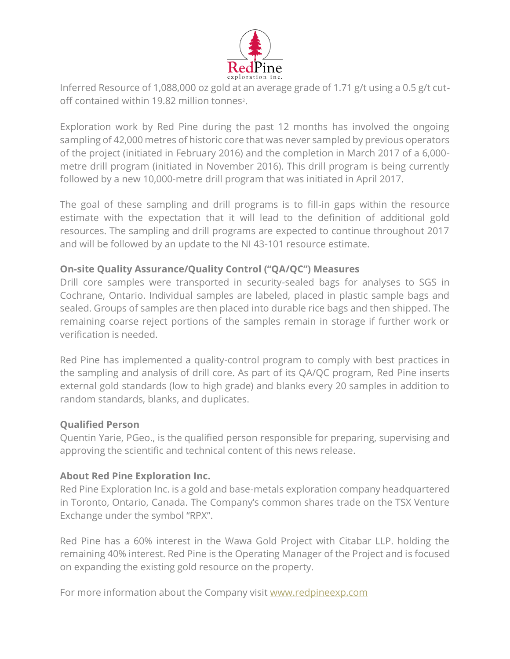

Inferred Resource of 1,088,000 oz gold at an average grade of 1.71 g/t using a 0.5 g/t cutoff contained within 19.82 million tonnes<sup>2</sup>.

Exploration work by Red Pine during the past 12 months has involved the ongoing sampling of 42,000 metres of historic core that was never sampled by previous operators of the project (initiated in February 2016) and the completion in March 2017 of a 6,000 metre drill program (initiated in November 2016). This drill program is being currently followed by a new 10,000-metre drill program that was initiated in April 2017.

The goal of these sampling and drill programs is to fill-in gaps within the resource estimate with the expectation that it will lead to the definition of additional gold resources. The sampling and drill programs are expected to continue throughout 2017 and will be followed by an update to the NI 43-101 resource estimate.

## **On-site Quality Assurance/Quality Control ("QA/QC") Measures**

Drill core samples were transported in security-sealed bags for analyses to SGS in Cochrane, Ontario. Individual samples are labeled, placed in plastic sample bags and sealed. Groups of samples are then placed into durable rice bags and then shipped. The remaining coarse reject portions of the samples remain in storage if further work or verification is needed.

Red Pine has implemented a quality-control program to comply with best practices in the sampling and analysis of drill core. As part of its QA/QC program, Red Pine inserts external gold standards (low to high grade) and blanks every 20 samples in addition to random standards, blanks, and duplicates.

#### **Qualified Person**

Quentin Yarie, PGeo., is the qualified person responsible for preparing, supervising and approving the scientific and technical content of this news release.

#### **About Red Pine Exploration Inc.**

Red Pine Exploration Inc. is a gold and base-metals exploration company headquartered in Toronto, Ontario, Canada. The Company's common shares trade on the TSX Venture Exchange under the symbol "RPX".

Red Pine has a 60% interest in the Wawa Gold Project with Citabar LLP. holding the remaining 40% interest. Red Pine is the Operating Manager of the Project and is focused on expanding the existing gold resource on the property.

For more information about the Company visit [www.redpineexp.com](http://www.redpineexp.com/)